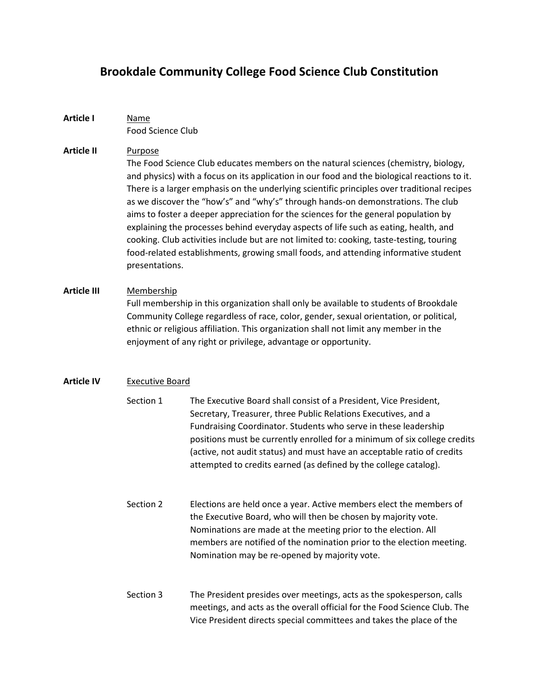# **Brookdale Community College Food Science Club Constitution**

**Article I** Name Food Science Club

## **Article II** Purpose

The Food Science Club educates members on the natural sciences (chemistry, biology, and physics) with a focus on its application in our food and the biological reactions to it. There is a larger emphasis on the underlying scientific principles over traditional recipes as we discover the "how's" and "why's" through hands-on demonstrations. The club aims to foster a deeper appreciation for the sciences for the general population by explaining the processes behind everyday aspects of life such as eating, health, and cooking. Club activities include but are not limited to: cooking, taste-testing, touring food-related establishments, growing small foods, and attending informative student presentations.

# **Article III** Membership

Full membership in this organization shall only be available to students of Brookdale Community College regardless of race, color, gender, sexual orientation, or political, ethnic or religious affiliation. This organization shall not limit any member in the enjoyment of any right or privilege, advantage or opportunity.

# **Article IV** Executive Board

- Section 1 The Executive Board shall consist of a President, Vice President, Secretary, Treasurer, three Public Relations Executives, and a Fundraising Coordinator. Students who serve in these leadership positions must be currently enrolled for a minimum of six college credits (active, not audit status) and must have an acceptable ratio of credits attempted to credits earned (as defined by the college catalog).
- Section 2 Elections are held once a year. Active members elect the members of the Executive Board, who will then be chosen by majority vote. Nominations are made at the meeting prior to the election. All members are notified of the nomination prior to the election meeting. Nomination may be re-opened by majority vote.
- Section 3 The President presides over meetings, acts as the spokesperson, calls meetings, and acts as the overall official for the Food Science Club. The Vice President directs special committees and takes the place of the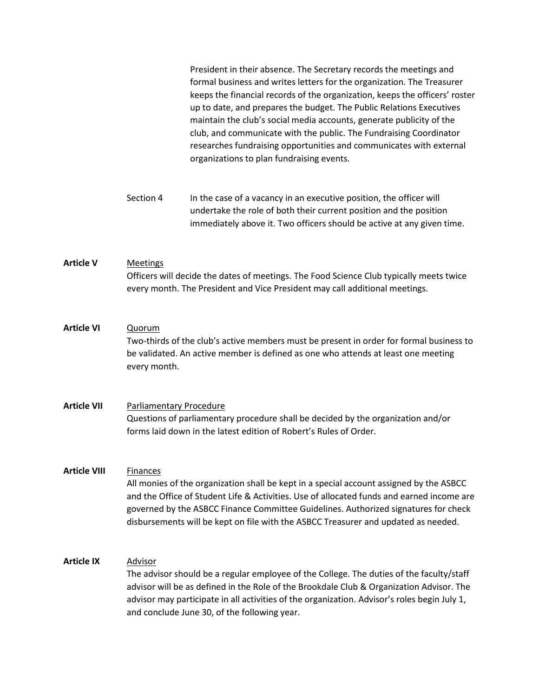|                     |                                                                                                                                                                                                                                                                                                                                                                                      | President in their absence. The Secretary records the meetings and<br>formal business and writes letters for the organization. The Treasurer<br>keeps the financial records of the organization, keeps the officers' roster<br>up to date, and prepares the budget. The Public Relations Executives<br>maintain the club's social media accounts, generate publicity of the<br>club, and communicate with the public. The Fundraising Coordinator<br>researches fundraising opportunities and communicates with external<br>organizations to plan fundraising events. |
|---------------------|--------------------------------------------------------------------------------------------------------------------------------------------------------------------------------------------------------------------------------------------------------------------------------------------------------------------------------------------------------------------------------------|-----------------------------------------------------------------------------------------------------------------------------------------------------------------------------------------------------------------------------------------------------------------------------------------------------------------------------------------------------------------------------------------------------------------------------------------------------------------------------------------------------------------------------------------------------------------------|
|                     | Section 4                                                                                                                                                                                                                                                                                                                                                                            | In the case of a vacancy in an executive position, the officer will<br>undertake the role of both their current position and the position<br>immediately above it. Two officers should be active at any given time.                                                                                                                                                                                                                                                                                                                                                   |
| <b>Article V</b>    | <b>Meetings</b><br>Officers will decide the dates of meetings. The Food Science Club typically meets twice<br>every month. The President and Vice President may call additional meetings.                                                                                                                                                                                            |                                                                                                                                                                                                                                                                                                                                                                                                                                                                                                                                                                       |
| <b>Article VI</b>   | Quorum<br>Two-thirds of the club's active members must be present in order for formal business to<br>be validated. An active member is defined as one who attends at least one meeting<br>every month.                                                                                                                                                                               |                                                                                                                                                                                                                                                                                                                                                                                                                                                                                                                                                                       |
| <b>Article VII</b>  | <b>Parliamentary Procedure</b><br>Questions of parliamentary procedure shall be decided by the organization and/or<br>forms laid down in the latest edition of Robert's Rules of Order.                                                                                                                                                                                              |                                                                                                                                                                                                                                                                                                                                                                                                                                                                                                                                                                       |
| <b>Article VIII</b> | <b>Finances</b><br>All monies of the organization shall be kept in a special account assigned by the ASBCC<br>and the Office of Student Life & Activities. Use of allocated funds and earned income are<br>governed by the ASBCC Finance Committee Guidelines. Authorized signatures for check<br>disbursements will be kept on file with the ASBCC Treasurer and updated as needed. |                                                                                                                                                                                                                                                                                                                                                                                                                                                                                                                                                                       |
| <b>Article IX</b>   | Advisor<br>The advisor should be a regular employee of the College. The duties of the faculty/staff<br>advisor will be as defined in the Role of the Brookdale Club & Organization Advisor. The<br>advisor may participate in all activities of the organization. Advisor's roles begin July 1,<br>and conclude June 30, of the following year.                                      |                                                                                                                                                                                                                                                                                                                                                                                                                                                                                                                                                                       |